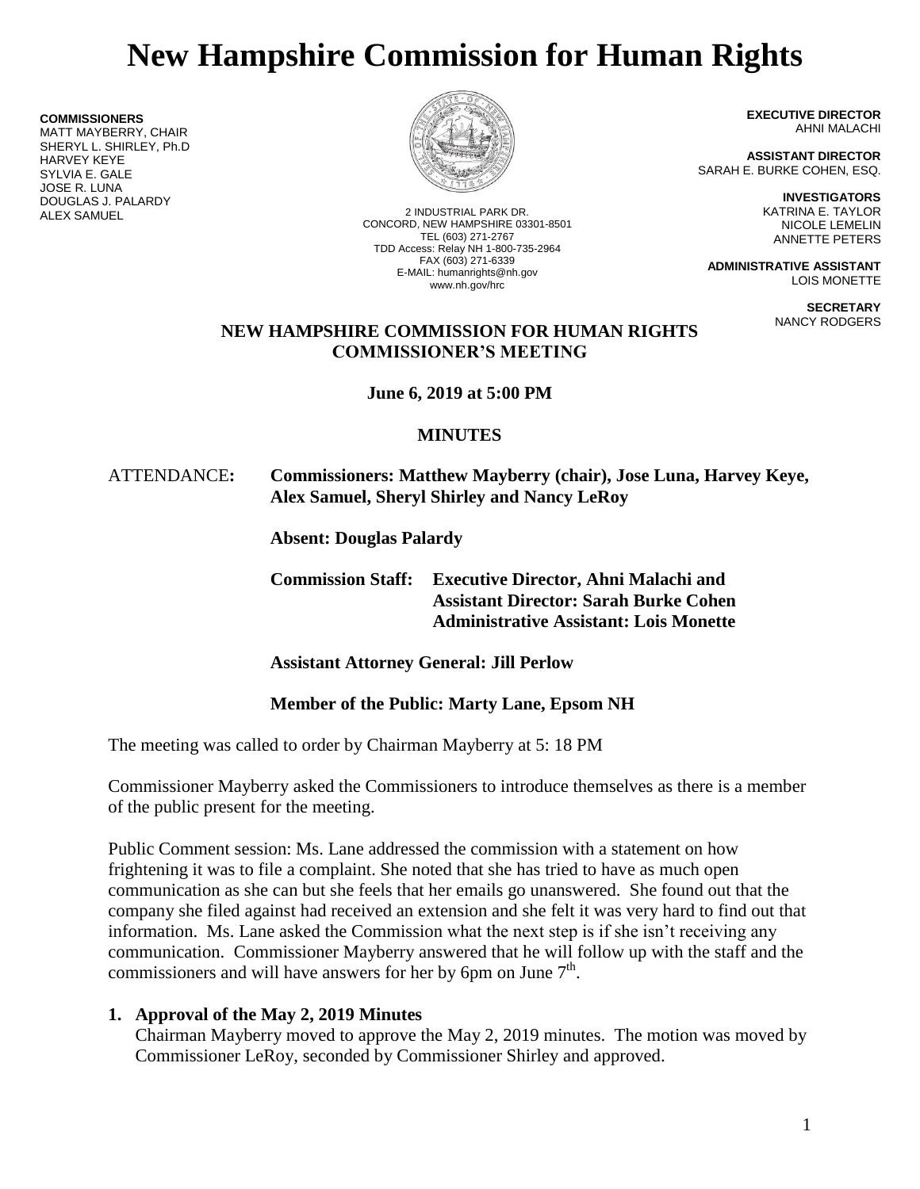# **New Hampshire Commission for Human Rights**

**COMMISSIONERS**

MATT MAYBERRY, CHAIR SHERYL L. SHIRLEY, Ph.D HARVEY KEYE SYLVIA E. GALE JOSE R. LUNA DOUGLAS J. PALARDY



2 INDUSTRIAL PARK DR. CONCORD, NEW HAMPSHIRE 03301-8501 TEL (603) 271-2767 TDD Access: Relay NH 1-800-735-2964 FAX (603) 271-6339 E-MAIL: humanrights@nh.gov www.nh.gov/hrc

**EXECUTIVE DIRECTOR** AHNI MALACHI

**ASSISTANT DIRECTOR** SARAH E. BURKE COHEN, ESQ.

> **INVESTIGATORS** KATRINA E. TAYLOR NICOLE LEMELIN ANNETTE PETERS

**ADMINISTRATIVE ASSISTANT** LOIS MONETTE

> **SECRETARY** NANCY RODGERS

### **NEW HAMPSHIRE COMMISSION FOR HUMAN RIGHTS COMMISSIONER'S MEETING**

**June 6, 2019 at 5:00 PM**

## **MINUTES**

### ATTENDANCE**: Commissioners: Matthew Mayberry (chair), Jose Luna, Harvey Keye, Alex Samuel, Sheryl Shirley and Nancy LeRoy**

**Absent: Douglas Palardy**

**Commission Staff: Executive Director, Ahni Malachi and Assistant Director: Sarah Burke Cohen Administrative Assistant: Lois Monette**

**Assistant Attorney General: Jill Perlow**

## **Member of the Public: Marty Lane, Epsom NH**

The meeting was called to order by Chairman Mayberry at 5: 18 PM

Commissioner Mayberry asked the Commissioners to introduce themselves as there is a member of the public present for the meeting.

Public Comment session: Ms. Lane addressed the commission with a statement on how frightening it was to file a complaint. She noted that she has tried to have as much open communication as she can but she feels that her emails go unanswered. She found out that the company she filed against had received an extension and she felt it was very hard to find out that information. Ms. Lane asked the Commission what the next step is if she isn't receiving any communication. Commissioner Mayberry answered that he will follow up with the staff and the commissioners and will have answers for her by 6pm on June  $7<sup>th</sup>$ .

## **1. Approval of the May 2, 2019 Minutes**

Chairman Mayberry moved to approve the May 2, 2019 minutes. The motion was moved by Commissioner LeRoy, seconded by Commissioner Shirley and approved.